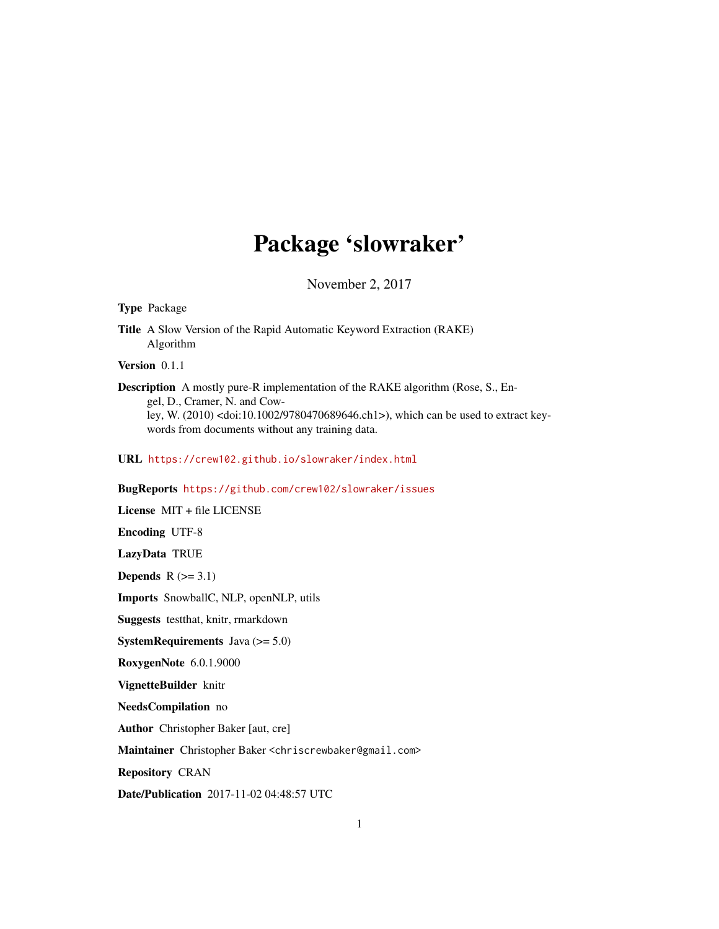## Package 'slowraker'

November 2, 2017

#### Type Package

Title A Slow Version of the Rapid Automatic Keyword Extraction (RAKE) Algorithm

Version 0.1.1

Description A mostly pure-R implementation of the RAKE algorithm (Rose, S., Engel, D., Cramer, N. and Cowley, W. (2010) <doi:10.1002/9780470689646.ch1>), which can be used to extract keywords from documents without any training data.

URL <https://crew102.github.io/slowraker/index.html>

#### BugReports <https://github.com/crew102/slowraker/issues>

License MIT + file LICENSE Encoding UTF-8 LazyData TRUE Depends  $R$  ( $>= 3.1$ ) Imports SnowballC, NLP, openNLP, utils Suggests testthat, knitr, rmarkdown **SystemRequirements** Java  $(>= 5.0)$ RoxygenNote 6.0.1.9000 VignetteBuilder knitr NeedsCompilation no Author Christopher Baker [aut, cre] Maintainer Christopher Baker <chriscrewbaker@gmail.com> Repository CRAN Date/Publication 2017-11-02 04:48:57 UTC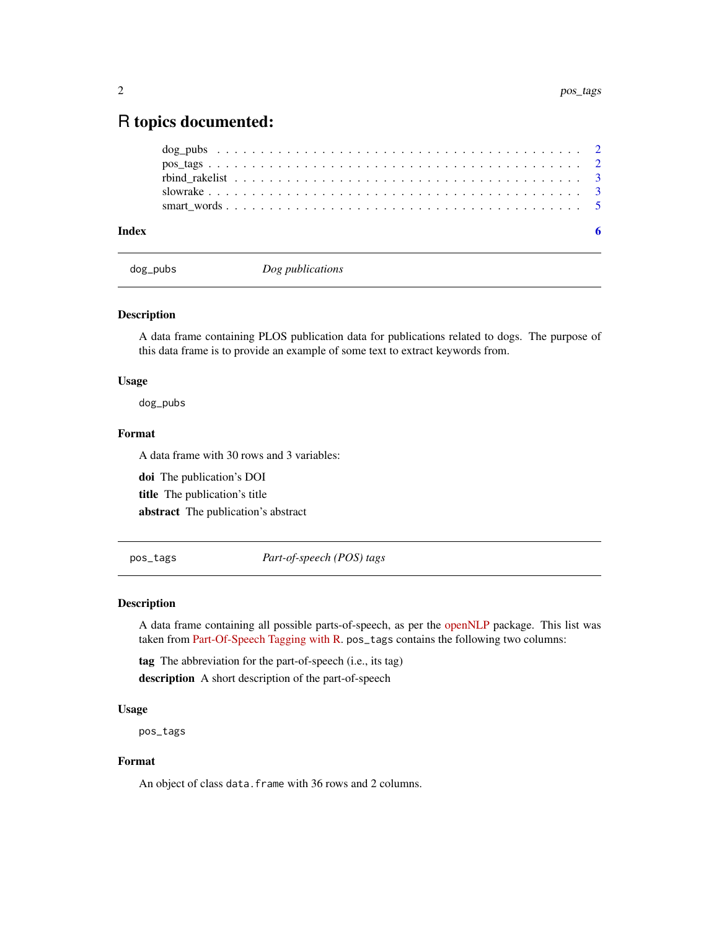### <span id="page-1-0"></span>R topics documented:

| Index |  |  |  |  |  |  |  |  |  |  |  |  |  |  |  |  |  |  |  |  |
|-------|--|--|--|--|--|--|--|--|--|--|--|--|--|--|--|--|--|--|--|--|

dog\_pubs *Dog publications*

#### Description

A data frame containing PLOS publication data for publications related to dogs. The purpose of this data frame is to provide an example of some text to extract keywords from.

#### Usage

dog\_pubs

#### Format

A data frame with 30 rows and 3 variables:

doi The publication's DOI title The publication's title abstract The publication's abstract

<span id="page-1-1"></span>pos\_tags *Part-of-speech (POS) tags*

#### Description

A data frame containing all possible parts-of-speech, as per the [openNLP](https://CRAN.R-project.org/package=openNLP) package. This list was taken from [Part-Of-Speech Tagging with R.](http://martinschweinberger.de/docs/articles/PosTagR.pdf) pos\_tags contains the following two columns:

tag The abbreviation for the part-of-speech (i.e., its tag) description A short description of the part-of-speech

#### Usage

pos\_tags

#### Format

An object of class data. frame with 36 rows and 2 columns.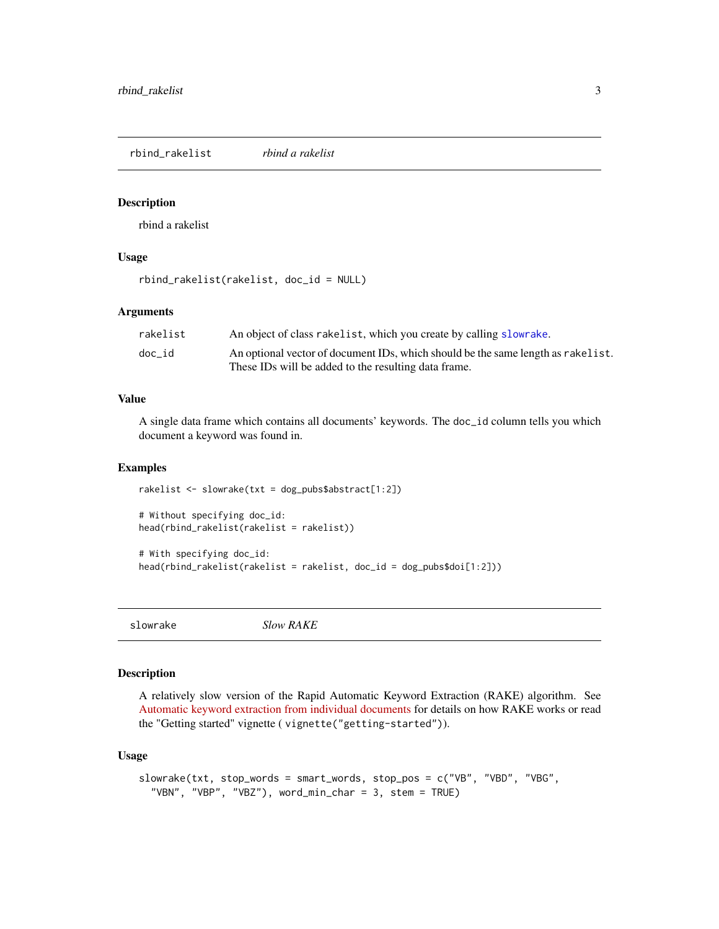<span id="page-2-0"></span>rbind\_rakelist *rbind a rakelist*

#### Description

rbind a rakelist

#### Usage

rbind\_rakelist(rakelist, doc\_id = NULL)

#### Arguments

| rakelist | An object of class rakelist, which you create by calling slow rake.              |
|----------|----------------------------------------------------------------------------------|
| doc id   | An optional vector of document IDs, which should be the same length as rakelist. |
|          | These IDs will be added to the resulting data frame.                             |

#### Value

A single data frame which contains all documents' keywords. The doc\_id column tells you which document a keyword was found in.

#### Examples

```
rakelist <- slowrake(txt = dog_pubs$abstract[1:2])
```

```
# Without specifying doc_id:
head(rbind_rakelist(rakelist = rakelist))
```

```
# With specifying doc_id:
head(rbind_rakelist(rakelist = rakelist, doc_id = dog_pubs$doi[1:2]))
```
<span id="page-2-1"></span>slowrake *Slow RAKE*

#### Description

A relatively slow version of the Rapid Automatic Keyword Extraction (RAKE) algorithm. See [Automatic keyword extraction from individual documents](http://media.wiley.com/product_data/excerpt/22/04707498/0470749822.pdf) for details on how RAKE works or read the "Getting started" vignette ( vignette("getting-started")).

#### Usage

```
slowrake(txt, stop_words = smart_words, stop_pos = c("VB", "VBD", "VBG",
  "VBN", "VBP", "VBZ"), word_min_char = 3, stem = TRUE)
```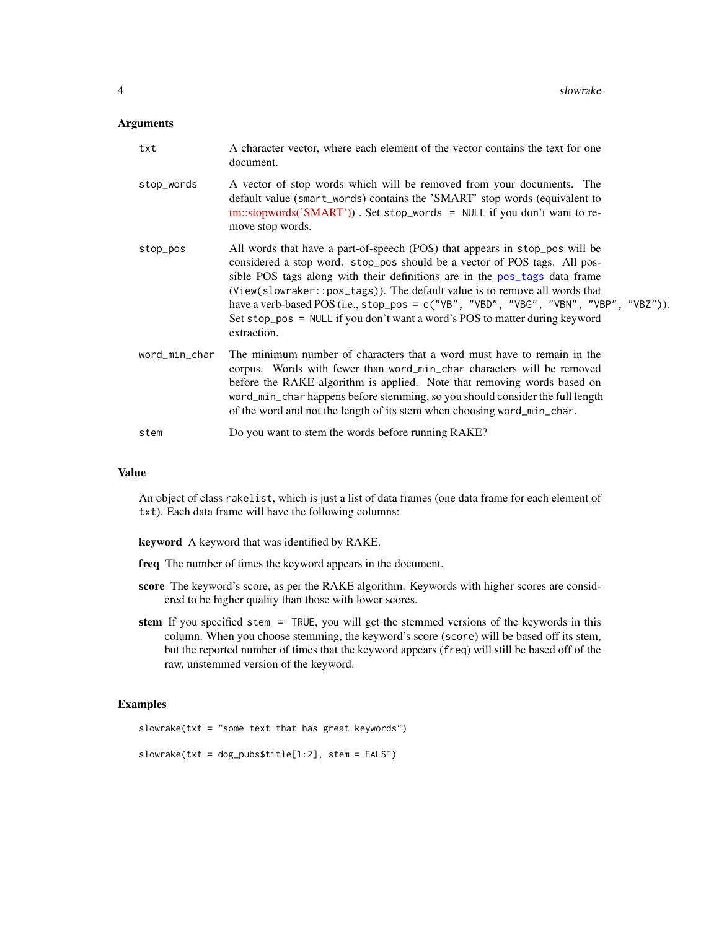#### <span id="page-3-0"></span>Arguments

| txt           | A character vector, where each element of the vector contains the text for one<br>document.                                                                                                                                                                                                                                                                                                                                                                                                                |
|---------------|------------------------------------------------------------------------------------------------------------------------------------------------------------------------------------------------------------------------------------------------------------------------------------------------------------------------------------------------------------------------------------------------------------------------------------------------------------------------------------------------------------|
| stop_words    | A vector of stop words which will be removed from your documents. The<br>default value (smart_words) contains the 'SMART' stop words (equivalent to<br>tm::stopwords('SMART')). Set stop_words = NULL if you don't want to re-<br>move stop words.                                                                                                                                                                                                                                                         |
| stop_pos      | All words that have a part-of-speech (POS) that appears in stop_pos will be<br>considered a stop word. stop_pos should be a vector of POS tags. All pos-<br>sible POS tags along with their definitions are in the pos_tags data frame<br>(View(slowraker::pos_tags)). The default value is to remove all words that<br>have a verb-based POS (i.e., stop_pos = c("VB", "VBD", "VBG", "VBN", "VBP", "VBZ")).<br>Set stop_pos = NULL if you don't want a word's POS to matter during keyword<br>extraction. |
| word_min_char | The minimum number of characters that a word must have to remain in the<br>corpus. Words with fewer than word_min_char characters will be removed<br>before the RAKE algorithm is applied. Note that removing words based on<br>word_min_char happens before stemming, so you should consider the full length<br>of the word and not the length of its stem when choosing word_min_char.                                                                                                                   |
| stem          | Do you want to stem the words before running RAKE?                                                                                                                                                                                                                                                                                                                                                                                                                                                         |

#### Value

An object of class rakelist, which is just a list of data frames (one data frame for each element of txt). Each data frame will have the following columns:

keyword A keyword that was identified by RAKE.

- freq The number of times the keyword appears in the document.
- score The keyword's score, as per the RAKE algorithm. Keywords with higher scores are considered to be higher quality than those with lower scores.
- stem If you specified stem = TRUE, you will get the stemmed versions of the keywords in this column. When you choose stemming, the keyword's score (score) will be based off its stem, but the reported number of times that the keyword appears (freq) will still be based off of the raw, unstemmed version of the keyword.

#### Examples

```
slowrake(txt = "some text that has great keywords")
```
slowrake(txt = dog\_pubs\$title[1:2], stem = FALSE)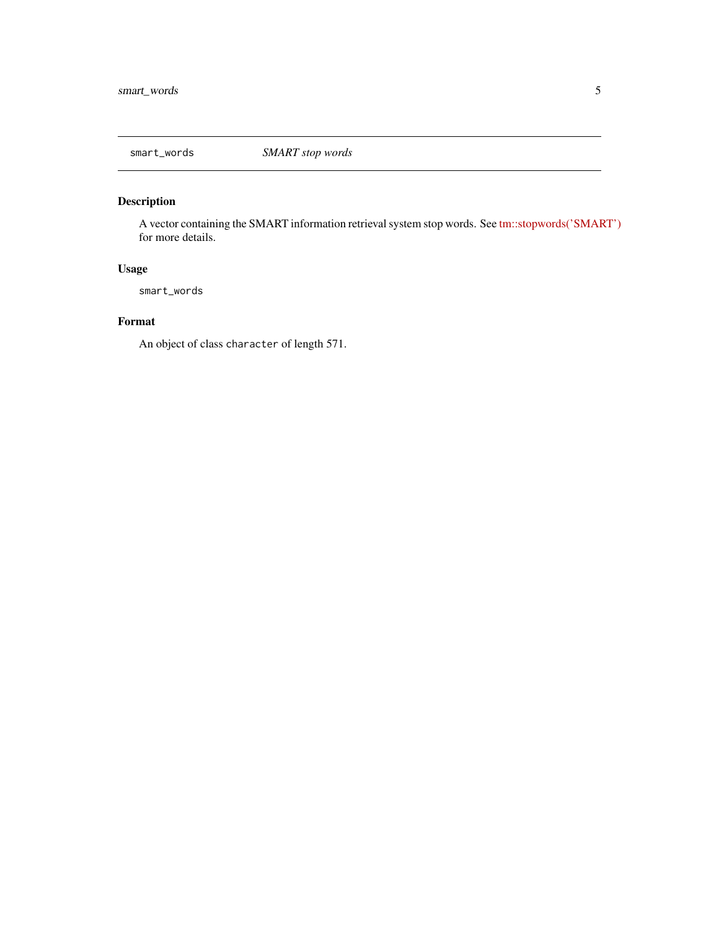<span id="page-4-0"></span>

#### Description

A vector containing the SMART information retrieval system stop words. See [tm::stopwords\('SMART'\)](https://rdrr.io/rforge/tm/man/stopwords.html) for more details.

#### Usage

smart\_words

#### Format

An object of class character of length 571.